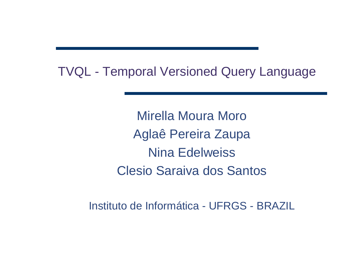TVQL - Temporal Versioned Query Language

Mirella Moura MoroAglaê Pereira ZaupaNina EdelweissClesio Saraiva dos Santos

Instituto de Informática - UFRGS - BRAZIL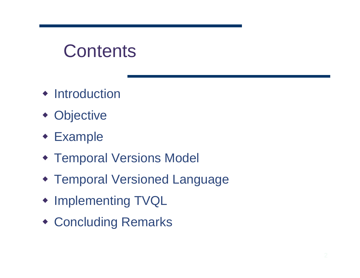## **Contents**

- Introduction
- Objective
- Example
- Temporal Versions Model
- Temporal Versioned Language
- Implementing TVQL
- Concluding Remarks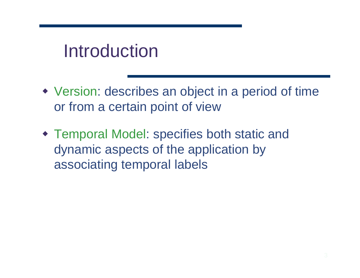# Introduction

- Version: describes an object in a period of time or from a certain point of view
- Temporal Model: specifies both static and dynamic aspects of the application by associating temporal labels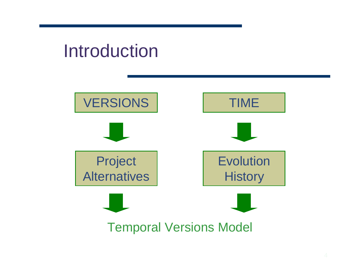# Introduction

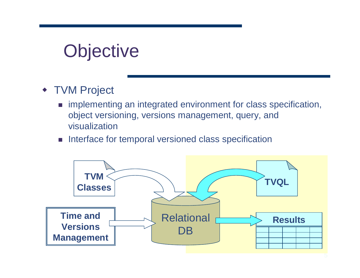# **Objective**

- ◆ TVM Project
	- implementing an integrated environment for class specification, object versioning, versions management, query, and visualization
	- -Interface for temporal versioned class specification

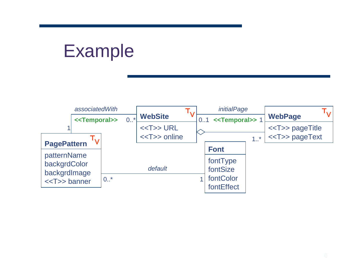## Example

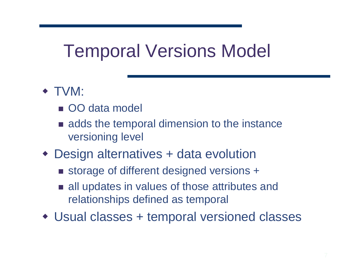# Temporal Versions Model

- TVM:
	- OO data model
	- **Example 3 and stance is adds the temporal dimension to the instance** versioning level
- Design alternatives + data evolution
	- storage of different designed versions +
	- all updates in values of those attributes and relationships defined as temporal
- Usual classes + temporal versioned classes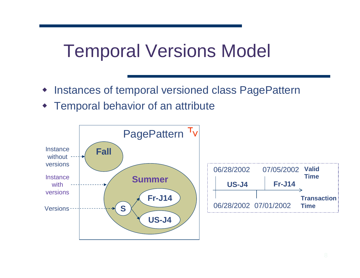# Temporal Versions Model

- Instances of temporal versioned class PagePattern
- Temporal behavior of an attribute

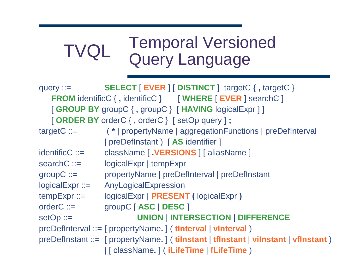### TVQLTemporal Versioned Query Language

| query $\mathrel{\mathop:}=$                                         | <b>SELECT</b> [ EVER ] [ DISTINCT ] targetC {, targetC }                            |  |
|---------------------------------------------------------------------|-------------------------------------------------------------------------------------|--|
| <b>FROM</b> identificC {, identificC } [ WHERE [ EVER ] searchC ]   |                                                                                     |  |
| [GROUP BY groupC {, groupC } [HAVING logicalExpr ]]                 |                                                                                     |  |
| [ORDER BY orderC {, orderC } [setOp query ];                        |                                                                                     |  |
| $targetC ::=$                                                       | (*   propertyName   aggregationFunctions   preDefInterval                           |  |
|                                                                     | preDefInstant ) [AS identifier ]                                                    |  |
| $identificC ::=$                                                    | className [ . VERSIONS ] [ aliasName ]                                              |  |
| $searchC ::=$                                                       | logicalExpr   tempExpr                                                              |  |
| $groupC ::=$                                                        | propertyName   preDefInterval   preDefInstant                                       |  |
| $logicalExpr ::=$                                                   | AnyLogicalExpression                                                                |  |
| $tempExpr ::=$                                                      | logicalExpr   PRESENT (logicalExpr)                                                 |  |
| $orderC ::=$                                                        | groupC [ASC   DESC ]                                                                |  |
| $setOp ::=$                                                         | <b>UNION   INTERSECTION   DIFFERENCE</b>                                            |  |
| $preDefinterval ::= [propertyName.]$ (the termal $  v$ interval $)$ |                                                                                     |  |
|                                                                     | $preDefinition ::= [propertyName.] (tilnstant   tflnstant   vilnstant   vflnstant)$ |  |
|                                                                     | [ className. ] ( iLifeTime   fLifeTime )                                            |  |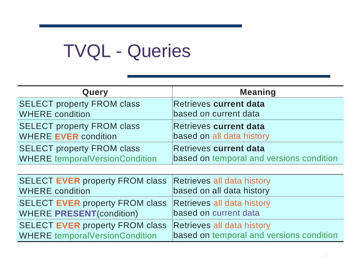# TVQL - Queries

| Query                                 | <b>Meaning</b>                           |
|---------------------------------------|------------------------------------------|
| <b>SELECT property FROM class</b>     | <b>Retrieves current data</b>            |
| <b>WHERE</b> condition                | based on current data                    |
| <b>SELECT property FROM class</b>     | Retrieves current data                   |
| <b>WHERE EVER condition</b>           | based on all data history                |
| <b>SELECT property FROM class</b>     | Retrieves current data                   |
| <b>WHERE temporalVersionCondition</b> | based on temporal and versions condition |

| SELECT EVER property FROM class Retrieves all data history |                                          |
|------------------------------------------------------------|------------------------------------------|
| <b>WHERE</b> condition                                     | based on all data history                |
| SELECT EVER property FROM class Retrieves all data history |                                          |
| <b>WHERE PRESENT(condition)</b>                            | based on current data                    |
| SELECT EVER property FROM class Retrieves all data history |                                          |
| <b>WHERE temporalVersionCondition</b>                      | based on temporal and versions condition |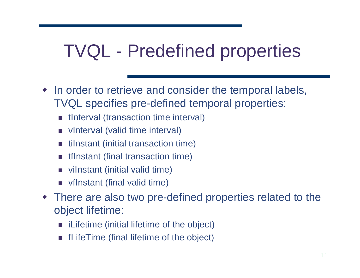# TVQL - Predefined properties

- In order to retrieve and consider the temporal labels, TVQL specifies pre-defined temporal properties:
	- tInterval (transaction time interval)
	- vInterval (valid time interval)
	- tilnstant (initial transaction time)
	- tfInstant (final transaction time)
	- viInstant (initial valid time)
	- $\blacksquare$  vfInstant (final valid time)
- There are also two pre-defined properties related to the object lifetime:
	- iLifetime (initial lifetime of the object)
	- fLifeTime (final lifetime of the object)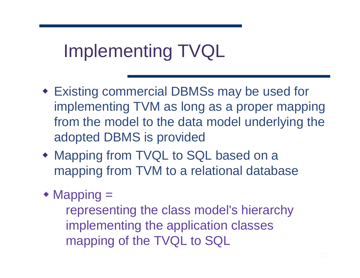# Implementing TVQL

- **Existing commercial DBMSs may be used for the Existing commercial DBMSs may be used for** implementing TVM as long as a proper mapping from the model to the data model underlying the adopted DBMS is provided
- Mapping from TVQL to SQL based on a mapping from TVM to a relational database
- ◆ Mapping =

 representing the class model's hierarchyimplementing the application classesmapping of the TVQL to SQL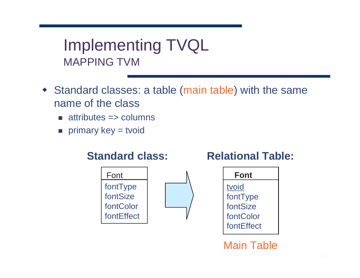Implementing TVQLMAPPING TVM

- Standard classes: a table (main table) with the same name of the class
	- attributes => columns
	- $\blacksquare$  primary key = tvoid

### **Standard class:**



### **Relational Table:**



Main Table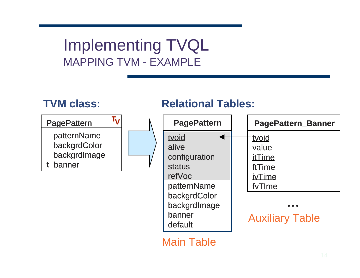### Implementing TVQLMAPPING TVM - EXAMPLE

### **TVM class:**



### **Relational Tables:**



Main Table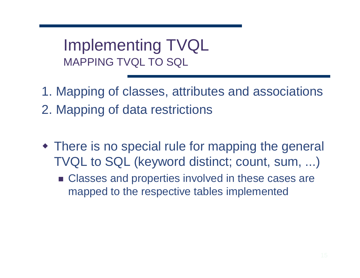- 1. Mapping of classes, attributes and associations2. Mapping of data restrictions
- There is no special rule for mapping the general TVQL to SQL (keyword distinct; count, sum, ...)
	- Classes and properties involved in these cases are mapped to the respective tables implemented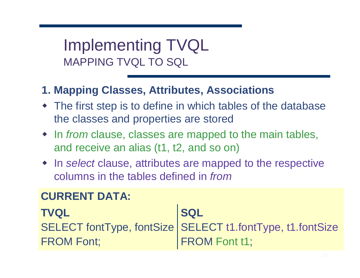### **1. Mapping Classes, Attributes, Associations**

- The first step is to define in which tables of the database the classes and properties are stored
- $\bullet$  In from clause, classes are mapped to the main tables,<br>and resolve an alies (t1, t2, and se op) and receive an alias (t1, t2, and so on)
- In select clause, attributes are mapped to the respective columns in the tables defined in from

### **CURRENT DATA:**

#### **TVQL** SELECT fontType, fontSizeFROM Font;**SQL** SELECT t1.fontType, t1.fontSizeFROM Font t1;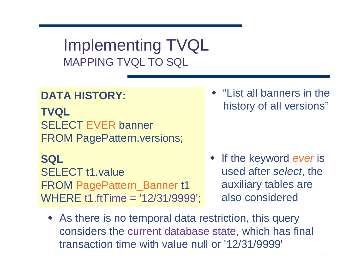### **DATA HISTORY:**

**TVQL**SELECT EVER banner FROM PagePattern.versions;

**SQL** SELECT t1.value FROM PagePattern\_Banner t1WHERE t1.ftTime = '12/31/9999'; • "List all banners in the history of all versions"

- If the keyword ever is used after select, the auxiliary tables are also considered
- As there is no temporal data restriction, this query considers the current database state, which has final transaction time with value null or '12/31/9999'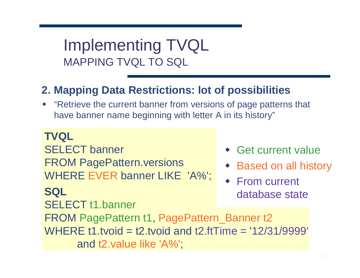### **2. Mapping Data Restrictions: lot of possibilities**

 "Retrieve the current banner from versions of page patterns that have banner name beginning with letter A in its history"

 Get current value ◆ Based on all history ◆ From current database state**SQL** SELECT t1.bannerFROM PagePattern t1, PagePattern\_Banner t2 WHERE t1.tvoid = t2.tvoid and t2.ftTime = '12/31/9999'and t2.value like 'A%';**TVQL** SELECT bannerFROM PagePattern.versionsWHERE EVER banner LIKE 'A%';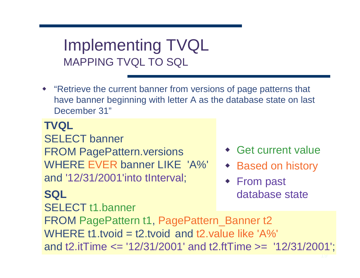"Retrieve the current banner from versions of page patterns that have banner beginning with letter A as the database state on last December 31"

**TVQL** SELECT bannerFROM PagePattern.versions WHERE EVER banner LIKE 'A%' and '12/31/2001'into tInterval;

**SQL**

SELECT t1.banner

- Get current value
- ◆ Based on history
- ◆ From past database state

FROM PagePattern t1, PagePattern\_Banner t2WHERE t1.tvoid = t2.tvoid and t2.value like 'A%' and t2.itTime <= '12/31/2001' and t2.ftTime >= '12/31/2001';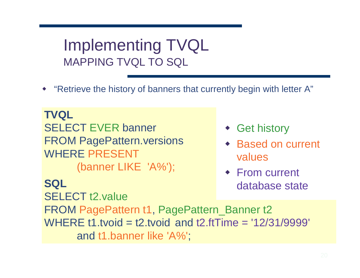"Retrieve the history of banners that currently begin with letter A"

**TVQL**SELECT EVER banner FROM PagePattern.versionsWHERE PRESENT(banner LIKE 'A%');

**SQL**

SELECT t2.value

- ◆ Get history
- ◆ Based on current values
- ◆ From current database state

 FROM PagePattern t1, PagePattern\_Banner t2 WHERE t1.tvoid = t2.tvoid and t2.ftTime = '12/31/9999'and t1.banner like 'A%';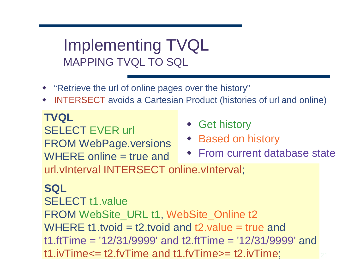- "Retrieve the url of online pages over the history"
- INTERSECT avoids a Cartesian Product (histories of url and online)

**TVQL** SELECT EVER urlFROM WebPage.versionsWHERE online = true and

- ◆ Get history
- ◆ Based on history
- From current database state

url.vInterval INTERSECT online.vInterval;

### **SQL**

 SELECT t1.value FROM WebSite\_URL t1, WebSite\_Online t2WHERE t1.tvoid = t2.tvoid and t2.value = true and t1.ftTime = '12/31/9999' and t2.ftTime = '12/31/9999' and t1.ivTime<= t2.fvTime and t1.fvTime>= t2.ivTime;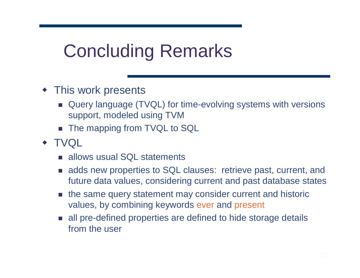# Concluding Remarks

- This work presents
	- Query language (TVQL) for time-evolving systems with versions support, modeled using TVM
	- The mapping from TVQL to SQL
- TVQL
	- allows usual SQL statements
	- adds new properties to SQL clauses: retrieve past, current, and future data values, considering current and past database states
	- **n** the same query statement may consider current and historic values, by combining keywords ever and present
	- all pre-defined properties are defined to hide storage details from the user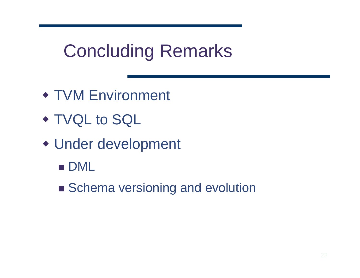# Concluding Remarks

- TVM Environment
- TVQL to SQL
- Under development
	- $\blacksquare$  DML
	- Schema versioning and evolution